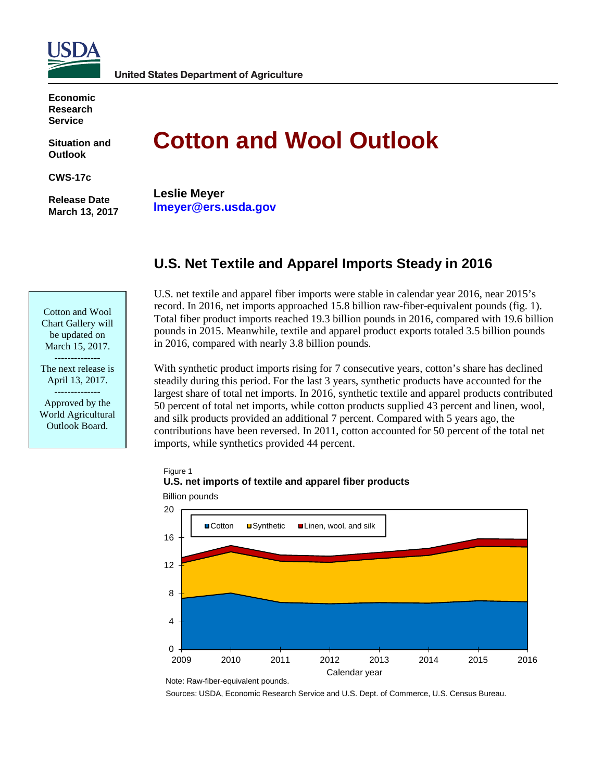

**Economic Research Service**

**Situation and Outlook**

**CWS-17c**

**Release Date March 13, 2017**

# **Cotton and Wool Outlook**

**Leslie Meyer lmeyer@ers.usda.gov**

# **U.S. Net Textile and Apparel Imports Steady in 2016**

Cotton and Wool Chart Gallery will be updated on March 15, 2017.

-------------- The next release is April 13, 2017. --------------

Approved by the World Agricultural Outlook Board.

U.S. net textile and apparel fiber imports were stable in calendar year 2016, near 2015's record. In 2016, net imports approached 15.8 billion raw-fiber-equivalent pounds (fig. 1). Total fiber product imports reached 19.3 billion pounds in 2016, compared with 19.6 billion pounds in 2015. Meanwhile, textile and apparel product exports totaled 3.5 billion pounds in 2016, compared with nearly 3.8 billion pounds.

With synthetic product imports rising for 7 consecutive years, cotton's share has declined steadily during this period. For the last 3 years, synthetic products have accounted for the largest share of total net imports. In 2016, synthetic textile and apparel products contributed 50 percent of total net imports, while cotton products supplied 43 percent and linen, wool, and silk products provided an additional 7 percent. Compared with 5 years ago, the contributions have been reversed. In 2011, cotton accounted for 50 percent of the total net imports, while synthetics provided 44 percent.

#### Figure 1



 $\Omega$ 4 8 12 16 20 2009 2010 2011 2012 2013 2014 2015 2016 **■Cotton ■Synthetic ■Linen, wool, and silk** Calendar year

Billion pounds

Sources: USDA, Economic Research Service and U.S. Dept. of Commerce, U.S. Census Bureau.

Note: Raw-fiber-equivalent pounds.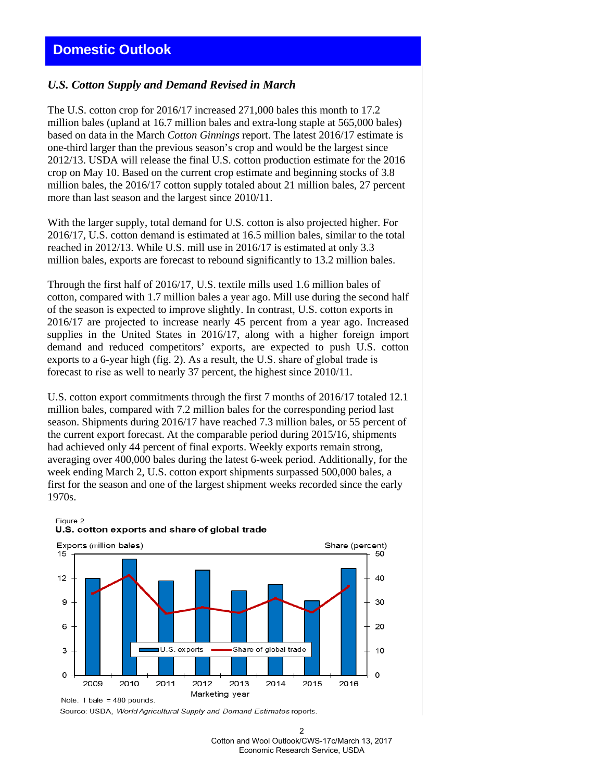## *U.S. Cotton Supply and Demand Revised in March*

The U.S. cotton crop for 2016/17 increased 271,000 bales this month to 17.2 million bales (upland at 16.7 million bales and extra-long staple at 565,000 bales) based on data in the March *Cotton Ginnings* report. The latest 2016/17 estimate is one-third larger than the previous season's crop and would be the largest since 2012/13. USDA will release the final U.S. cotton production estimate for the 2016 crop on May 10. Based on the current crop estimate and beginning stocks of 3.8 million bales, the 2016/17 cotton supply totaled about 21 million bales, 27 percent more than last season and the largest since 2010/11.

With the larger supply, total demand for U.S. cotton is also projected higher. For 2016/17, U.S. cotton demand is estimated at 16.5 million bales, similar to the total reached in 2012/13. While U.S. mill use in 2016/17 is estimated at only 3.3 million bales, exports are forecast to rebound significantly to 13.2 million bales.

Through the first half of 2016/17, U.S. textile mills used 1.6 million bales of cotton, compared with 1.7 million bales a year ago. Mill use during the second half of the season is expected to improve slightly. In contrast, U.S. cotton exports in 2016/17 are projected to increase nearly 45 percent from a year ago. Increased supplies in the United States in 2016/17, along with a higher foreign import demand and reduced competitors' exports, are expected to push U.S. cotton exports to a 6-year high (fig. 2). As a result, the U.S. share of global trade is forecast to rise as well to nearly 37 percent, the highest since 2010/11.

U.S. cotton export commitments through the first 7 months of 2016/17 totaled 12.1 million bales, compared with 7.2 million bales for the corresponding period last season. Shipments during 2016/17 have reached 7.3 million bales, or 55 percent of the current export forecast. At the comparable period during 2015/16, shipments had achieved only 44 percent of final exports. Weekly exports remain strong, averaging over 400,000 bales during the latest 6-week period. Additionally, for the week ending March 2, U.S. cotton export shipments surpassed 500,000 bales, a first for the season and one of the largest shipment weeks recorded since the early 1970s.



#### U.S. cotton exports and share of global trade

Figure 2

Note: 1 bale =  $480$  pounds

Source: USDA, World Agricultural Supply and Demand Estimates reports.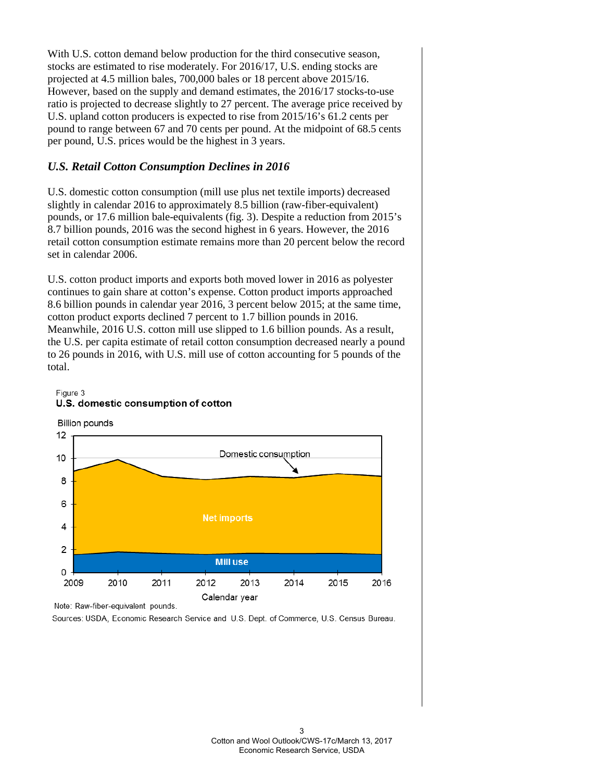With U.S. cotton demand below production for the third consecutive season, stocks are estimated to rise moderately. For 2016/17, U.S. ending stocks are projected at 4.5 million bales, 700,000 bales or 18 percent above 2015/16. However, based on the supply and demand estimates, the 2016/17 stocks-to-use ratio is projected to decrease slightly to 27 percent. The average price received by U.S. upland cotton producers is expected to rise from 2015/16's 61.2 cents per pound to range between 67 and 70 cents per pound. At the midpoint of 68.5 cents per pound, U.S. prices would be the highest in 3 years.

## *U.S. Retail Cotton Consumption Declines in 2016*

U.S. domestic cotton consumption (mill use plus net textile imports) decreased slightly in calendar 2016 to approximately 8.5 billion (raw-fiber-equivalent) pounds, or 17.6 million bale-equivalents (fig. 3). Despite a reduction from 2015's 8.7 billion pounds, 2016 was the second highest in 6 years. However, the 2016 retail cotton consumption estimate remains more than 20 percent below the record set in calendar 2006.

U.S. cotton product imports and exports both moved lower in 2016 as polyester continues to gain share at cotton's expense. Cotton product imports approached 8.6 billion pounds in calendar year 2016, 3 percent below 2015; at the same time, cotton product exports declined 7 percent to 1.7 billion pounds in 2016. Meanwhile, 2016 U.S. cotton mill use slipped to 1.6 billion pounds. As a result, the U.S. per capita estimate of retail cotton consumption decreased nearly a pound to 26 pounds in 2016, with U.S. mill use of cotton accounting for 5 pounds of the total.

#### Figure 3 U.S. domestic consumption of cotton

**Billion pounds** 



Note: Raw-fiber-equivalent pounds.

Sources: USDA, Economic Research Service and U.S. Dept. of Commerce, U.S. Census Bureau.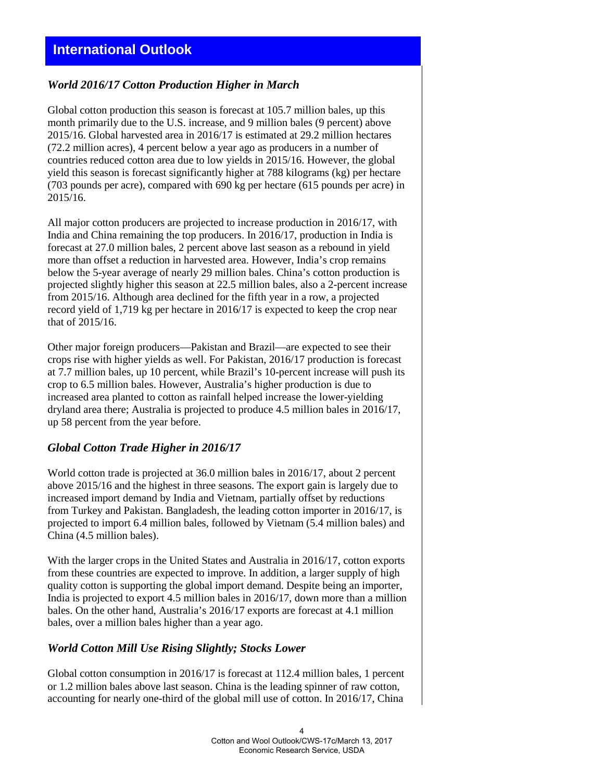## *World 2016/17 Cotton Production Higher in March*

Global cotton production this season is forecast at 105.7 million bales, up this month primarily due to the U.S. increase, and 9 million bales (9 percent) above 2015/16. Global harvested area in 2016/17 is estimated at 29.2 million hectares (72.2 million acres), 4 percent below a year ago as producers in a number of countries reduced cotton area due to low yields in 2015/16. However, the global yield this season is forecast significantly higher at 788 kilograms (kg) per hectare (703 pounds per acre), compared with 690 kg per hectare (615 pounds per acre) in 2015/16.

All major cotton producers are projected to increase production in 2016/17, with India and China remaining the top producers. In 2016/17, production in India is forecast at 27.0 million bales, 2 percent above last season as a rebound in yield more than offset a reduction in harvested area. However, India's crop remains below the 5-year average of nearly 29 million bales. China's cotton production is projected slightly higher this season at 22.5 million bales, also a 2-percent increase from 2015/16. Although area declined for the fifth year in a row, a projected record yield of 1,719 kg per hectare in 2016/17 is expected to keep the crop near that of 2015/16.

Other major foreign producers—Pakistan and Brazil—are expected to see their crops rise with higher yields as well. For Pakistan, 2016/17 production is forecast at 7.7 million bales, up 10 percent, while Brazil's 10-percent increase will push its crop to 6.5 million bales. However, Australia's higher production is due to increased area planted to cotton as rainfall helped increase the lower-yielding dryland area there; Australia is projected to produce 4.5 million bales in 2016/17, up 58 percent from the year before.

## *Global Cotton Trade Higher in 2016/17*

World cotton trade is projected at 36.0 million bales in 2016/17, about 2 percent above 2015/16 and the highest in three seasons. The export gain is largely due to increased import demand by India and Vietnam, partially offset by reductions from Turkey and Pakistan. Bangladesh, the leading cotton importer in 2016/17, is projected to import 6.4 million bales, followed by Vietnam (5.4 million bales) and China (4.5 million bales).

With the larger crops in the United States and Australia in 2016/17, cotton exports from these countries are expected to improve. In addition, a larger supply of high quality cotton is supporting the global import demand. Despite being an importer, India is projected to export 4.5 million bales in 2016/17, down more than a million bales. On the other hand, Australia's 2016/17 exports are forecast at 4.1 million bales, over a million bales higher than a year ago.

#### *World Cotton Mill Use Rising Slightly; Stocks Lower*

Global cotton consumption in 2016/17 is forecast at 112.4 million bales, 1 percent or 1.2 million bales above last season. China is the leading spinner of raw cotton, accounting for nearly one-third of the global mill use of cotton. In 2016/17, China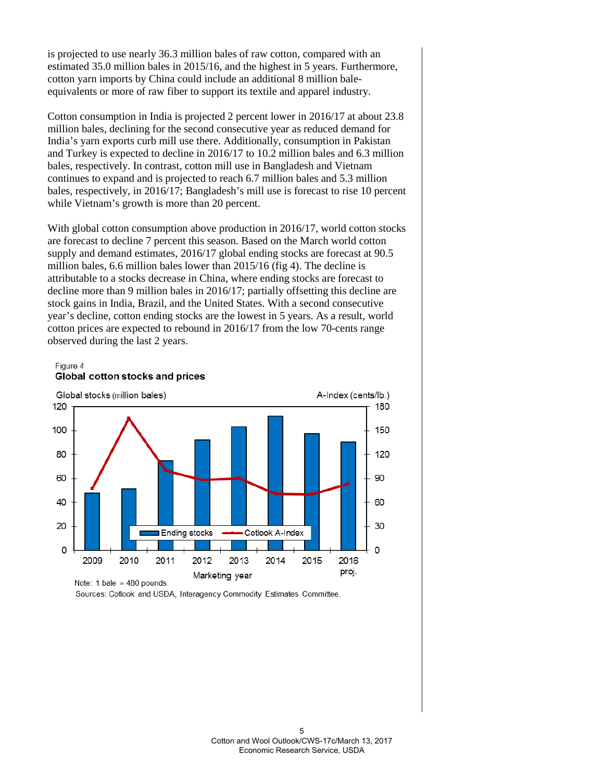is projected to use nearly 36.3 million bales of raw cotton, compared with an estimated 35.0 million bales in 2015/16, and the highest in 5 years. Furthermore, cotton yarn imports by China could include an additional 8 million baleequivalents or more of raw fiber to support its textile and apparel industry.

Cotton consumption in India is projected 2 percent lower in 2016/17 at about 23.8 million bales, declining for the second consecutive year as reduced demand for India's yarn exports curb mill use there. Additionally, consumption in Pakistan and Turkey is expected to decline in 2016/17 to 10.2 million bales and 6.3 million bales, respectively. In contrast, cotton mill use in Bangladesh and Vietnam continues to expand and is projected to reach 6.7 million bales and 5.3 million bales, respectively, in 2016/17; Bangladesh's mill use is forecast to rise 10 percent while Vietnam's growth is more than 20 percent.

With global cotton consumption above production in 2016/17, world cotton stocks are forecast to decline 7 percent this season. Based on the March world cotton supply and demand estimates, 2016/17 global ending stocks are forecast at 90.5 million bales, 6.6 million bales lower than 2015/16 (fig 4). The decline is attributable to a stocks decrease in China, where ending stocks are forecast to decline more than 9 million bales in 2016/17; partially offsetting this decline are stock gains in India, Brazil, and the United States. With a second consecutive year's decline, cotton ending stocks are the lowest in 5 years. As a result, world cotton prices are expected to rebound in 2016/17 from the low 70-cents range observed during the last 2 years.

#### Figure 4 Global cotton stocks and prices



Sources: Cotlook and USDA, Interagency Commodity Estimates Committee.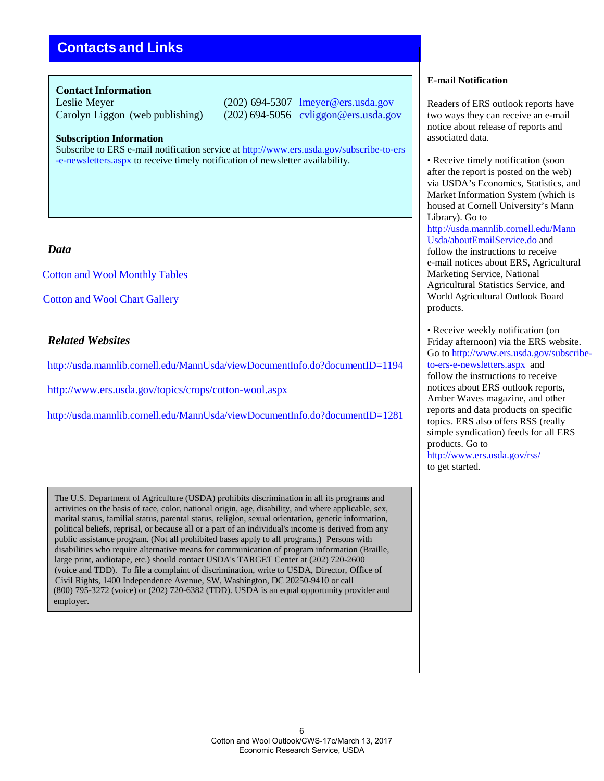# **Contacts and Links**

#### **Contact Information**

Leslie Meyer (202) 694-5307 lmeyer@ers.usda.gov Carolyn Liggon (web publishing) (202) 694-5056 cvliggon@ers.usda.gov

**Subscription Information**

Subscribe to ERS e-mail notification service at <http://www.ers.usda.gov/subscribe-to-ers> [-e-newsletters.aspx t](http://www.ers.usda.gov/subscribe-to-ers-e-newsletters.aspx)o receive timely notification of newsletter availability.

## *Data*

Cotton and [Wool Monthly Tables](http://ers.usda.gov/publications/cws-cotton-and-wool-outlook)

[Cotton and Wool Chart](http://www.ers.usda.gov/data-products/cotton-and-%20wool-chart-gallery.aspx#.UguTC6z8J8E) Gallery

## *Related Websites*

<http://usda.mannlib.cornell.edu/MannUsda/viewDocumentInfo.do?documentID=1194>

<http://www.ers.usda.gov/topics/crops/cotton-wool.aspx>

<http://usda.mannlib.cornell.edu/MannUsda/viewDocumentInfo.do?documentID=1281>

The U.S. Department of Agriculture (USDA) prohibits discrimination in all its programs and activities on the basis of race, color, national origin, age, disability, and where applicable, sex, marital status, familial status, parental status, religion, sexual orientation, genetic information, political beliefs, reprisal, or because all or a part of an individual's income is derived from any public assistance program. (Not all prohibited bases apply to all programs.) Persons with disabilities who require alternative means for communication of program information (Braille, large print, audiotape, etc.) should contact USDA's TARGET Center at (202) 720-2600 (voice and TDD). To file a complaint of discrimination, write to USDA, Director, Office of Civil Rights, 1400 Independence Avenue, SW, Washington, DC 20250-9410 or call (800) 795-3272 (voice) or (202) 720-6382 (TDD). USDA is an equal opportunity provider and employer.

#### **E-mail Notification**

Readers of ERS outlook reports have two ways they can receive an e-mail notice about release of reports and associated data.

• Receive timely notification (soon) after the report is posted on the web) via USDA's Economics, Statistics, and Market Information System (which is housed at Cornell University's Mann Library). Go to [http://usda.mannlib.cornell.edu/Mann](http://usda.mannlib.cornell.edu/MannUsda/aboutEmailService.do) [Usda/aboutEmailService.do a](http://usda.mannlib.cornell.edu/MannUsda/aboutEmailService.do)nd follow the instructions to receive e-mail notices about ERS, Agricultural Marketing Service, National Agricultural Statistics Service, and World Agricultural Outlook Board products.

• Receive weekly notification (on Friday afternoon) via the ERS website. Go to [http://www.ers.usda.gov/subscribe](http://www.ers.usda.gov/subscribe-)to-ers-e-newsletters.aspx and follow the instructions to receive notices about ERS outlook reports, Amber Waves magazine, and other reports and data products on specific topics. ERS also offers RSS (really simple syndication) feeds for all ERS products. Go to <http://www.ers.usda.gov/rss/> to get started.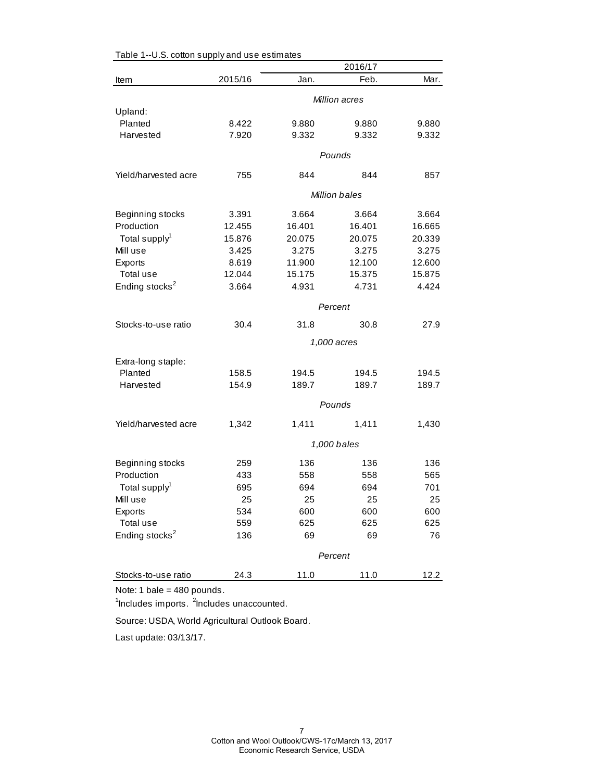|                            | 2016/17 |        |               |        |
|----------------------------|---------|--------|---------------|--------|
| Item                       | 2015/16 | Jan.   | Feb.          | Mar.   |
|                            |         |        | Million acres |        |
| Upland:                    |         |        |               |        |
| Planted                    | 8.422   | 9.880  | 9.880         | 9.880  |
| Harvested                  | 7.920   | 9.332  | 9.332         | 9.332  |
|                            |         |        | Pounds        |        |
| Yield/harvested acre       | 755     | 844    | 844           | 857    |
|                            |         |        | Million bales |        |
| Beginning stocks           | 3.391   | 3.664  | 3.664         | 3.664  |
| Production                 | 12.455  | 16.401 | 16.401        | 16.665 |
| Total supply <sup>1</sup>  | 15.876  | 20.075 | 20.075        | 20.339 |
| Mill use                   | 3.425   | 3.275  | 3.275         | 3.275  |
| Exports                    | 8.619   | 11.900 | 12.100        | 12.600 |
| Total use                  | 12.044  | 15.175 | 15.375        | 15.875 |
| Ending stocks <sup>2</sup> | 3.664   | 4.931  | 4.731         | 4.424  |
|                            |         |        | Percent       |        |
| Stocks-to-use ratio        | 30.4    | 31.8   | 30.8          | 27.9   |
|                            |         |        | 1,000 acres   |        |
| Extra-long staple:         |         |        |               |        |
| Planted                    | 158.5   | 194.5  | 194.5         | 194.5  |
| Harvested                  | 154.9   | 189.7  | 189.7         | 189.7  |
|                            |         |        | Pounds        |        |
| Yield/harvested acre       | 1,342   | 1,411  | 1,411         | 1,430  |
|                            |         |        | 1,000 bales   |        |
| Beginning stocks           | 259     | 136    | 136           | 136    |
| Production                 | 433     | 558    | 558           | 565    |
| Total supply <sup>1</sup>  | 695     | 694    | 694           | 701    |
| Mill use                   | 25      | 25     | 25            | 25     |
| Exports                    | 534     | 600    | 600           | 600    |
| Total use                  | 559     | 625    | 625           | 625    |
| Ending stocks <sup>2</sup> | 136     | 69     | 69            | 76     |
|                            |         |        |               |        |
|                            |         |        | Percent       |        |
| Stocks-to-use ratio        | 24.3    | 11.0   | 11.0          | 12.2   |

Table 1--U.S. cotton supply and use estimates

Note: 1 bale = 480 pounds.

<sup>1</sup>Includes imports. <sup>2</sup>Includes unaccounted.

Source: USDA, World Agricultural Outlook Board.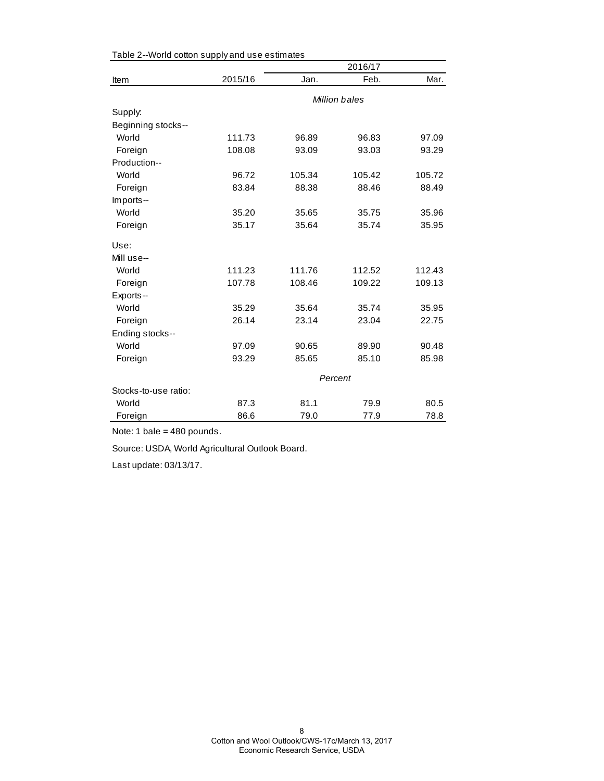|                      |         | 2016/17       |        |        |  |  |
|----------------------|---------|---------------|--------|--------|--|--|
| Item                 | 2015/16 | Jan.          | Feb.   | Mar.   |  |  |
|                      |         | Million bales |        |        |  |  |
| Supply:              |         |               |        |        |  |  |
| Beginning stocks--   |         |               |        |        |  |  |
| World                | 111.73  | 96.89         | 96.83  | 97.09  |  |  |
| Foreign              | 108.08  | 93.09         | 93.03  | 93.29  |  |  |
| Production--         |         |               |        |        |  |  |
| World                | 96.72   | 105.34        | 105.42 | 105.72 |  |  |
| Foreign              | 83.84   | 88.38         | 88.46  | 88.49  |  |  |
| Imports--            |         |               |        |        |  |  |
| World                | 35.20   | 35.65         | 35.75  | 35.96  |  |  |
| Foreign              | 35.17   | 35.64         | 35.74  | 35.95  |  |  |
| Use:                 |         |               |        |        |  |  |
| Mill use--           |         |               |        |        |  |  |
| World                | 111.23  | 111.76        | 112.52 | 112.43 |  |  |
| Foreign              | 107.78  | 108.46        | 109.22 | 109.13 |  |  |
| Exports--            |         |               |        |        |  |  |
| World                | 35.29   | 35.64         | 35.74  | 35.95  |  |  |
| Foreign              | 26.14   | 23.14         | 23.04  | 22.75  |  |  |
| Ending stocks--      |         |               |        |        |  |  |
| World                | 97.09   | 90.65         | 89.90  | 90.48  |  |  |
| Foreign              | 93.29   | 85.65         | 85.10  | 85.98  |  |  |
|                      |         | Percent       |        |        |  |  |
| Stocks-to-use ratio: |         |               |        |        |  |  |
| World                | 87.3    | 81.1          | 79.9   | 80.5   |  |  |
| Foreign              | 86.6    | 79.0          | 77.9   | 78.8   |  |  |

Table 2--World cotton supply and use estimates

Note: 1 bale = 480 pounds.

Source: USDA, World Agricultural Outlook Board.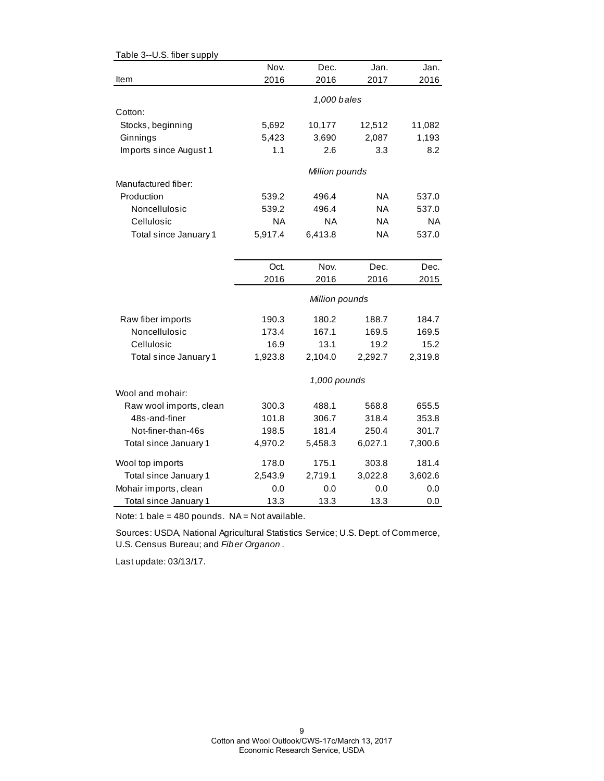| Table 3--U.S. fiber supply |           |                |           |           |
|----------------------------|-----------|----------------|-----------|-----------|
|                            | Nov.      | Dec.           | Jan.      | Jan.      |
| Item                       | 2016      | 2016           | 2017      | 2016      |
|                            |           |                |           |           |
| Cotton:                    |           | 1,000 bales    |           |           |
|                            |           |                |           |           |
| Stocks, beginning          | 5,692     | 10,177         | 12,512    | 11,082    |
| Ginnings                   | 5,423     | 3,690          | 2,087     | 1,193     |
| Imports since August 1     | 1.1       | 2.6            | 3.3       | 8.2       |
|                            |           | Million pounds |           |           |
| Manufactured fiber:        |           |                |           |           |
| Production                 | 539.2     | 496.4          | ΝA        | 537.0     |
| Noncellulosic              | 539.2     | 496.4          | <b>NA</b> | 537.0     |
| Cellulosic                 | <b>NA</b> | <b>NA</b>      | <b>NA</b> | <b>NA</b> |
| Total since January 1      | 5,917.4   | 6,413.8        | <b>NA</b> | 537.0     |
|                            |           |                |           |           |
|                            | Oct.      | Nov.           | Dec.      | Dec.      |
|                            | 2016      | 2016           | 2016      | 2015      |
|                            |           | Million pounds |           |           |
| Raw fiber imports          | 190.3     | 180.2          | 188.7     | 184.7     |
| Noncellulosic              | 173.4     | 167.1          | 169.5     | 169.5     |
| Cellulosic                 | 16.9      | 13.1           | 19.2      | 15.2      |
| Total since January 1      | 1,923.8   | 2,104.0        | 2,292.7   | 2,319.8   |
|                            |           | 1,000 pounds   |           |           |
| Wool and mohair:           |           |                |           |           |
| Raw wool imports, clean    | 300.3     | 488.1          | 568.8     | 655.5     |
| 48s-and-finer              | 101.8     | 306.7          | 318.4     | 353.8     |
| Not-finer-than-46s         | 198.5     | 181.4          | 250.4     | 301.7     |
| Total since January 1      | 4,970.2   | 5,458.3        | 6,027.1   | 7,300.6   |
| Wool top imports           | 178.0     | 175.1          | 303.8     | 181.4     |
| Total since January 1      | 2,543.9   | 2,719.1        | 3,022.8   | 3,602.6   |
| Mohair imports, clean      | 0.0       | 0.0            | 0.0       | 0.0       |
| Total since January 1      | 13.3      | 13.3           | 13.3      | 0.0       |

Note: 1 bale =  $480$  pounds. NA = Not available.

Sources: USDA, National Agricultural Statistics Service; U.S. Dept. of Commerce, U.S. Census Bureau; and *Fiber Organon* .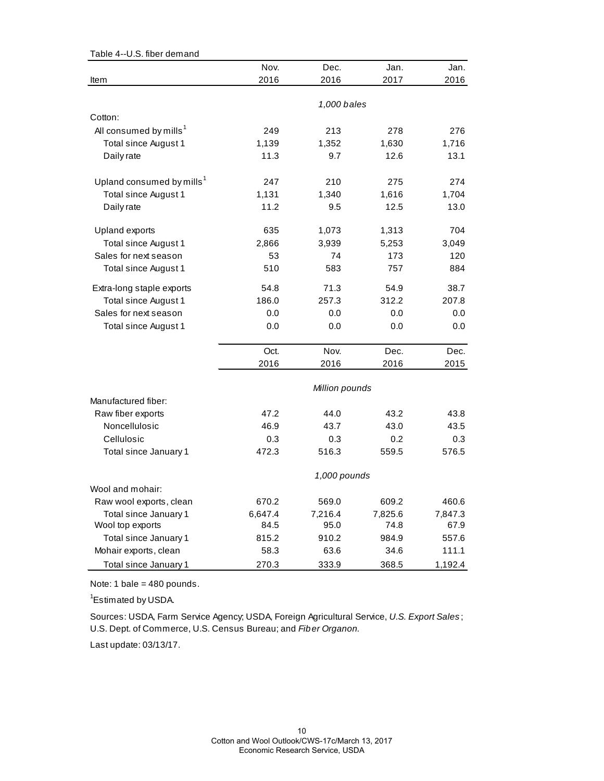| Table 4--U.S. fiber demand            |              |                |         |         |  |  |
|---------------------------------------|--------------|----------------|---------|---------|--|--|
|                                       | Nov.         | Dec.           | Jan.    | Jan.    |  |  |
| Item                                  | 2016         | 2016           | 2017    | 2016    |  |  |
|                                       |              |                |         |         |  |  |
|                                       |              | 1,000 bales    |         |         |  |  |
| Cotton:                               |              |                |         |         |  |  |
| All consumed by mills <sup>1</sup>    | 249          | 213            | 278     | 276     |  |  |
| Total since August 1                  | 1,139        | 1,352          | 1,630   | 1,716   |  |  |
| Daily rate                            | 11.3         | 9.7            | 12.6    | 13.1    |  |  |
| Upland consumed by mills <sup>1</sup> | 247          | 210            | 275     | 274     |  |  |
| Total since August 1                  | 1,131        | 1,340          | 1,616   | 1,704   |  |  |
| Daily rate                            | 11.2         | 9.5            | 12.5    | 13.0    |  |  |
|                                       |              |                |         |         |  |  |
| Upland exports                        | 635          | 1,073          | 1,313   | 704     |  |  |
| Total since August 1                  | 2,866        | 3,939          | 5,253   | 3,049   |  |  |
| Sales for next season                 | 53           | 74             | 173     | 120     |  |  |
| Total since August 1                  | 510          | 583            | 757     | 884     |  |  |
| Extra-long staple exports             | 54.8         | 71.3           | 54.9    | 38.7    |  |  |
| Total since August 1                  | 186.0        | 257.3          | 312.2   | 207.8   |  |  |
| Sales for next season                 | 0.0          | 0.0            | 0.0     | 0.0     |  |  |
| Total since August 1                  | 0.0          | 0.0            | 0.0     | 0.0     |  |  |
|                                       | Oct.         | Nov.           | Dec.    | Dec.    |  |  |
|                                       | 2016         | 2016           | 2016    | 2015    |  |  |
|                                       |              |                |         |         |  |  |
|                                       |              | Million pounds |         |         |  |  |
| Manufactured fiber:                   |              |                |         |         |  |  |
| Raw fiber exports                     | 47.2         | 44.0           | 43.2    | 43.8    |  |  |
| Noncellulosic                         | 46.9         | 43.7           | 43.0    | 43.5    |  |  |
| Cellulosic                            | 0.3          | 0.3            | 0.2     | 0.3     |  |  |
| Total since January 1                 | 472.3        | 516.3          | 559.5   | 576.5   |  |  |
|                                       | 1,000 pounds |                |         |         |  |  |
| Wool and mohair:                      |              |                |         |         |  |  |
| Raw wool exports, clean               | 670.2        | 569.0          | 609.2   | 460.6   |  |  |
| Total since January 1                 | 6,647.4      | 7,216.4        | 7,825.6 | 7,847.3 |  |  |
| Wool top exports                      | 84.5         | 95.0           | 74.8    | 67.9    |  |  |
| Total since January 1                 | 815.2        | 910.2          | 984.9   | 557.6   |  |  |
| Mohair exports, clean                 | 58.3         | 63.6           | 34.6    | 111.1   |  |  |
| Total since January 1                 | 270.3        | 333.9          | 368.5   | 1,192.4 |  |  |

Note: 1 bale = 480 pounds.

<sup>1</sup>Estimated by USDA.

Sources: USDA, Farm Service Agency; USDA, Foreign Agricultural Service, *U.S. Export Sales* ; U.S. Dept. of Commerce, U.S. Census Bureau; and *Fiber Organon.*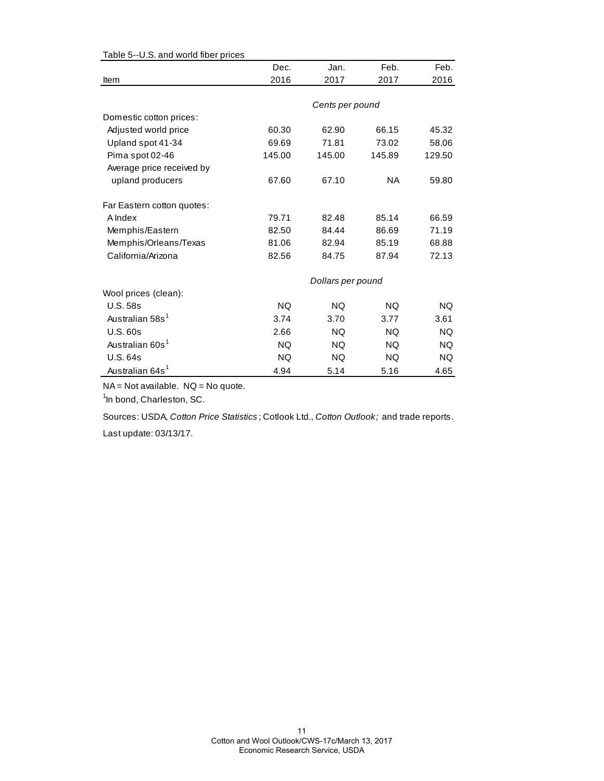| Dec.      | Jan.      | Feb.      | Feb.                                 |
|-----------|-----------|-----------|--------------------------------------|
| 2016      | 2017      | 2017      | 2016                                 |
|           |           |           |                                      |
|           |           |           |                                      |
|           |           |           |                                      |
| 60.30     | 62.90     | 66.15     | 45.32                                |
| 69.69     | 71.81     | 73.02     | 58.06                                |
| 145.00    | 145.00    | 145.89    | 129.50                               |
|           |           |           |                                      |
| 67.60     | 67.10     | NA.       | 59.80                                |
|           |           |           |                                      |
|           |           |           |                                      |
| 79.71     | 82.48     | 85.14     | 66.59                                |
| 82.50     | 84.44     | 86.69     | 71.19                                |
| 81.06     | 82.94     | 85.19     | 68.88                                |
| 82.56     | 84.75     | 87.94     | 72.13                                |
|           |           |           |                                      |
|           |           |           |                                      |
| <b>NQ</b> | <b>NQ</b> | NQ.       | NQ.                                  |
| 3.74      | 3.70      | 3.77      | 3.61                                 |
| 2.66      | NQ.       | NQ.       | NQ.                                  |
| <b>NQ</b> | <b>NQ</b> | <b>NQ</b> | NQ.                                  |
| <b>NQ</b> | <b>NQ</b> | <b>NQ</b> | NQ.                                  |
| 4.94      | 5.14      | 5.16      | 4.65                                 |
|           |           |           | Cents per pound<br>Dollars per pound |

Table 5--U.S. and world fiber prices

NA = Not available. NQ = No quote.

<sup>1</sup>In bond, Charleston, SC.

Sources: USDA, *Cotton Price Statistics* ; Cotlook Ltd., *Cotton Outlook;* and trade reports.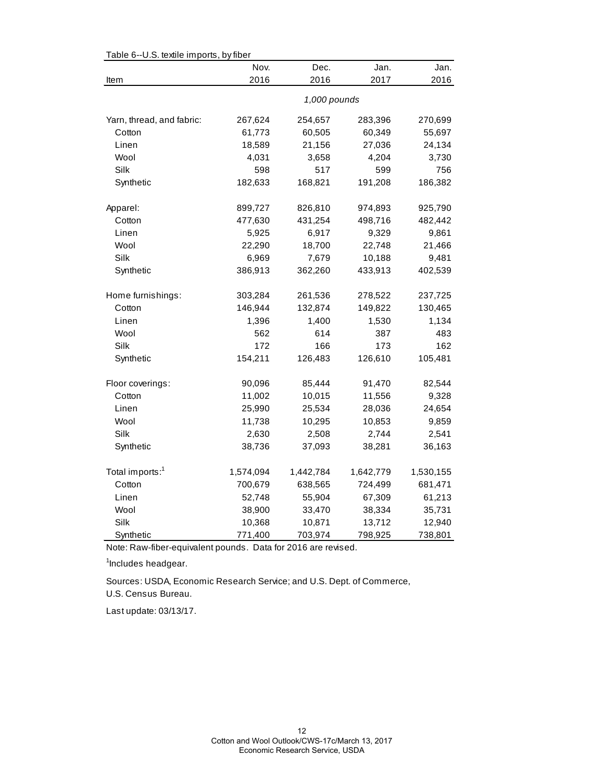|                             | Table 6--U.S. textile imports, by fiber |           |           |           |  |  |  |  |
|-----------------------------|-----------------------------------------|-----------|-----------|-----------|--|--|--|--|
|                             | Nov.                                    | Dec.      | Jan.      | Jan.      |  |  |  |  |
| Item                        | 2016                                    | 2016      | 2017      | 2016      |  |  |  |  |
|                             | 1,000 pounds                            |           |           |           |  |  |  |  |
| Yarn, thread, and fabric:   | 267,624                                 | 254,657   | 283,396   | 270,699   |  |  |  |  |
| Cotton                      | 61,773                                  | 60,505    | 60,349    | 55,697    |  |  |  |  |
| Linen                       | 18,589                                  | 21,156    | 27,036    | 24,134    |  |  |  |  |
| Wool                        | 4,031                                   | 3,658     | 4,204     | 3,730     |  |  |  |  |
| Silk                        | 598                                     | 517       | 599       | 756       |  |  |  |  |
| Synthetic                   | 182,633                                 | 168,821   | 191,208   | 186,382   |  |  |  |  |
| Apparel:                    | 899,727                                 | 826,810   | 974,893   | 925,790   |  |  |  |  |
| Cotton                      | 477,630                                 | 431,254   | 498,716   | 482,442   |  |  |  |  |
| Linen                       | 5,925                                   | 6,917     | 9,329     | 9,861     |  |  |  |  |
| Wool                        | 22,290                                  | 18,700    | 22,748    | 21,466    |  |  |  |  |
| Silk                        | 6,969                                   | 7,679     | 10,188    | 9,481     |  |  |  |  |
| Synthetic                   | 386,913                                 | 362,260   | 433,913   | 402,539   |  |  |  |  |
| Home furnishings:           | 303,284                                 | 261,536   | 278,522   | 237,725   |  |  |  |  |
| Cotton                      | 146,944                                 | 132,874   | 149,822   | 130,465   |  |  |  |  |
| Linen                       | 1,396                                   | 1,400     | 1,530     | 1,134     |  |  |  |  |
| Wool                        | 562                                     | 614       | 387       | 483       |  |  |  |  |
| Silk                        | 172                                     | 166       | 173       | 162       |  |  |  |  |
| Synthetic                   | 154,211                                 | 126,483   | 126,610   | 105,481   |  |  |  |  |
| Floor coverings:            | 90,096                                  | 85,444    | 91,470    | 82,544    |  |  |  |  |
| Cotton                      | 11,002                                  | 10,015    | 11,556    | 9,328     |  |  |  |  |
| Linen                       | 25,990                                  | 25,534    | 28,036    | 24,654    |  |  |  |  |
| Wool                        | 11,738                                  | 10,295    | 10,853    | 9,859     |  |  |  |  |
| Silk                        | 2,630                                   | 2,508     | 2,744     | 2,541     |  |  |  |  |
| Synthetic                   | 38,736                                  | 37,093    | 38,281    | 36,163    |  |  |  |  |
| Total imports: <sup>1</sup> | 1,574,094                               | 1,442,784 | 1,642,779 | 1,530,155 |  |  |  |  |
| Cotton                      | 700,679                                 | 638,565   | 724,499   | 681,471   |  |  |  |  |
| Linen                       | 52,748                                  | 55,904    | 67,309    | 61,213    |  |  |  |  |
| Wool                        | 38,900                                  | 33,470    | 38,334    | 35,731    |  |  |  |  |
| Silk                        | 10,368                                  | 10,871    | 13,712    | 12,940    |  |  |  |  |
| Synthetic                   | 771,400                                 | 703,974   | 798,925   | 738,801   |  |  |  |  |

 $Table 6-11$  S, textile imports, by fib

Note: Raw-fiber-equivalent pounds. Data for 2016 are revised.

<sup>1</sup>Includes headgear.

U.S. Census Bureau. Sources: USDA, Economic Research Service; and U.S. Dept. of Commerce,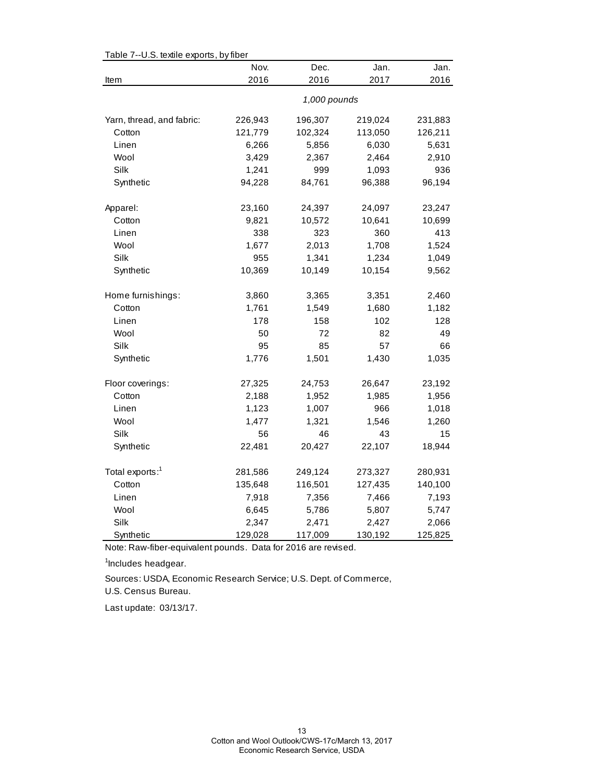| Table 7--U.S. textile exports, by fiber |              |         |         |         |  |  |
|-----------------------------------------|--------------|---------|---------|---------|--|--|
|                                         | Nov.         | Dec.    | Jan.    | Jan.    |  |  |
| Item                                    | 2016         | 2016    | 2017    | 2016    |  |  |
|                                         | 1,000 pounds |         |         |         |  |  |
| Yarn, thread, and fabric:               | 226,943      | 196,307 | 219,024 | 231,883 |  |  |
| Cotton                                  | 121,779      | 102,324 | 113,050 | 126,211 |  |  |
| Linen                                   | 6,266        | 5,856   | 6,030   | 5,631   |  |  |
| Wool                                    | 3,429        | 2,367   | 2,464   | 2,910   |  |  |
| Silk                                    | 1,241        | 999     | 1,093   | 936     |  |  |
| Synthetic                               | 94,228       | 84,761  | 96,388  | 96,194  |  |  |
| Apparel:                                | 23,160       | 24,397  | 24,097  | 23,247  |  |  |
| Cotton                                  | 9,821        | 10,572  | 10,641  | 10,699  |  |  |
| Linen                                   | 338          | 323     | 360     | 413     |  |  |
| Wool                                    | 1,677        | 2,013   | 1,708   | 1,524   |  |  |
| Silk                                    | 955          | 1,341   | 1,234   | 1,049   |  |  |
| Synthetic                               | 10,369       | 10,149  | 10,154  | 9,562   |  |  |
| Home furnishings:                       | 3,860        | 3,365   | 3,351   | 2,460   |  |  |
| Cotton                                  | 1,761        | 1,549   | 1,680   | 1,182   |  |  |
| Linen                                   | 178          | 158     | 102     | 128     |  |  |
| Wool                                    | 50           | 72      | 82      | 49      |  |  |
| Silk                                    | 95           | 85      | 57      | 66      |  |  |
| Synthetic                               | 1,776        | 1,501   | 1,430   | 1,035   |  |  |
| Floor coverings:                        | 27,325       | 24,753  | 26,647  | 23,192  |  |  |
| Cotton                                  | 2,188        | 1,952   | 1,985   | 1,956   |  |  |
| Linen                                   | 1,123        | 1,007   | 966     | 1,018   |  |  |
| Wool                                    | 1,477        | 1,321   | 1,546   | 1,260   |  |  |
| Silk                                    | 56           | 46      | 43      | 15      |  |  |
| Synthetic                               | 22,481       | 20,427  | 22,107  | 18,944  |  |  |
| Total exports: <sup>1</sup>             | 281,586      | 249,124 | 273,327 | 280,931 |  |  |
| Cotton                                  | 135,648      | 116,501 | 127,435 | 140,100 |  |  |
| Linen                                   | 7,918        | 7,356   | 7,466   | 7,193   |  |  |
| Wool                                    | 6,645        | 5,786   | 5,807   | 5,747   |  |  |
| Silk                                    | 2,347        | 2,471   | 2,427   | 2,066   |  |  |
| Synthetic                               | 129,028      | 117,009 | 130,192 | 125,825 |  |  |

Table 7--U.S. textile exports, by fiber

Note: Raw-fiber-equivalent pounds. Data for 2016 are revised.

<sup>1</sup>Includes headgear.

Sources: USDA, Economic Research Service; U.S. Dept. of Commerce,

U.S. Census Bureau.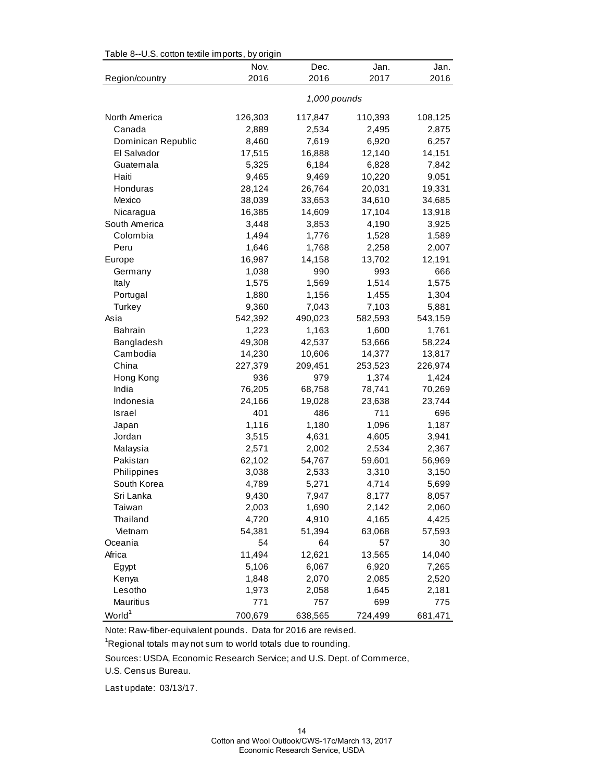| Table 8--U.S. cotton textile imports, by origin |         |              |         |         |  |  |  |  |
|-------------------------------------------------|---------|--------------|---------|---------|--|--|--|--|
|                                                 | Nov.    | Dec.         | Jan.    | Jan.    |  |  |  |  |
| Region/country                                  | 2016    | 2016         | 2017    | 2016    |  |  |  |  |
|                                                 |         | 1,000 pounds |         |         |  |  |  |  |
| North America                                   | 126,303 | 117,847      | 110,393 | 108,125 |  |  |  |  |
| Canada                                          | 2,889   | 2,534        | 2,495   | 2,875   |  |  |  |  |
| Dominican Republic                              | 8,460   | 7,619        | 6,920   | 6,257   |  |  |  |  |
| El Salvador                                     | 17,515  | 16,888       | 12,140  | 14,151  |  |  |  |  |
| Guatemala                                       | 5,325   | 6,184        | 6,828   | 7,842   |  |  |  |  |
| Haiti                                           | 9,465   | 9,469        | 10,220  | 9,051   |  |  |  |  |
| Honduras                                        | 28,124  | 26,764       | 20,031  | 19,331  |  |  |  |  |
| Mexico                                          | 38,039  | 33,653       | 34,610  | 34,685  |  |  |  |  |
| Nicaragua                                       | 16,385  | 14,609       | 17,104  | 13,918  |  |  |  |  |
| South America                                   | 3,448   | 3,853        | 4,190   | 3,925   |  |  |  |  |
| Colombia                                        | 1,494   | 1,776        | 1,528   | 1,589   |  |  |  |  |
| Peru                                            | 1,646   | 1,768        | 2,258   | 2,007   |  |  |  |  |
| Europe                                          | 16,987  | 14,158       | 13,702  | 12,191  |  |  |  |  |
| Germany                                         | 1,038   | 990          | 993     | 666     |  |  |  |  |
| Italy                                           | 1,575   | 1,569        | 1,514   | 1,575   |  |  |  |  |
| Portugal                                        | 1,880   | 1,156        | 1,455   | 1,304   |  |  |  |  |
| Turkey                                          | 9,360   | 7,043        | 7,103   | 5,881   |  |  |  |  |
| Asia                                            | 542,392 | 490,023      | 582,593 | 543,159 |  |  |  |  |
| <b>Bahrain</b>                                  | 1,223   | 1,163        | 1,600   | 1,761   |  |  |  |  |
| Bangladesh                                      | 49,308  | 42,537       | 53,666  | 58,224  |  |  |  |  |
| Cambodia                                        | 14,230  | 10,606       | 14,377  | 13,817  |  |  |  |  |
| China                                           | 227,379 | 209,451      | 253,523 | 226,974 |  |  |  |  |
| Hong Kong                                       | 936     | 979          | 1,374   | 1,424   |  |  |  |  |
| India                                           | 76,205  | 68,758       | 78,741  | 70,269  |  |  |  |  |
| Indonesia                                       | 24,166  | 19,028       | 23,638  | 23,744  |  |  |  |  |
| <b>Israel</b>                                   | 401     | 486          | 711     | 696     |  |  |  |  |
| Japan                                           | 1,116   | 1,180        | 1,096   | 1,187   |  |  |  |  |
| Jordan                                          | 3,515   | 4,631        | 4,605   | 3,941   |  |  |  |  |
| Malaysia                                        | 2,571   | 2,002        | 2,534   | 2,367   |  |  |  |  |
| Pakistan                                        | 62,102  | 54,767       | 59,601  | 56,969  |  |  |  |  |
| Philippines                                     | 3,038   | 2,533        | 3,310   | 3,150   |  |  |  |  |
| South Korea                                     | 4,789   | 5,271        | 4,714   | 5,699   |  |  |  |  |
| Sri Lanka                                       | 9,430   | 7,947        | 8,177   | 8,057   |  |  |  |  |
| Taiwan                                          | 2,003   | 1,690        | 2,142   | 2,060   |  |  |  |  |
| Thailand                                        | 4,720   | 4,910        | 4,165   | 4,425   |  |  |  |  |
| Vietnam                                         | 54,381  | 51,394       | 63,068  | 57,593  |  |  |  |  |
| Oceania                                         | 54      | 64           | 57      | 30      |  |  |  |  |
| Africa                                          | 11,494  | 12,621       | 13,565  | 14,040  |  |  |  |  |
| Egypt                                           | 5,106   | 6,067        | 6,920   | 7,265   |  |  |  |  |
| Kenya                                           | 1,848   | 2,070        | 2,085   | 2,520   |  |  |  |  |
| Lesotho                                         | 1,973   | 2,058        | 1,645   | 2,181   |  |  |  |  |
| Mauritius                                       | 771     | 757          | 699     | 775     |  |  |  |  |
| World <sup>1</sup>                              | 700,679 | 638,565      | 724,499 | 681,471 |  |  |  |  |

Table 8--U.S. cotton textile imports, by origin

Note: Raw-fiber-equivalent pounds. Data for 2016 are revised.

<sup>1</sup>Regional totals may not sum to world totals due to rounding.

Sources: USDA, Economic Research Service; and U.S. Dept. of Commerce,

U.S. Census Bureau.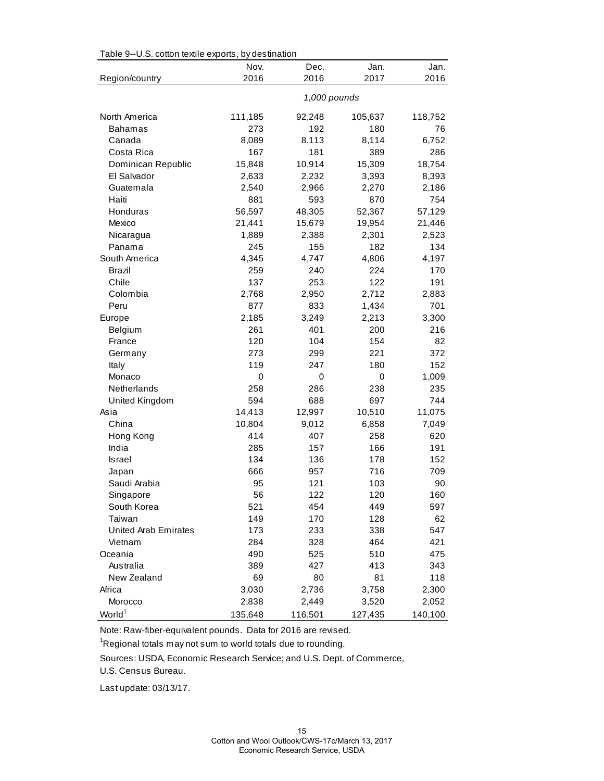| Table 9--0.5. cotton textile exports, by destination<br>Nov.<br>Dec.<br>Jan.<br>Jan. |         |              |         |         |  |  |
|--------------------------------------------------------------------------------------|---------|--------------|---------|---------|--|--|
| Region/country                                                                       | 2016    | 2016         | 2017    | 2016    |  |  |
|                                                                                      |         | 1,000 pounds |         |         |  |  |
|                                                                                      |         |              |         |         |  |  |
| North America                                                                        | 111,185 | 92,248       | 105,637 | 118,752 |  |  |
| <b>Bahamas</b>                                                                       | 273     | 192          | 180     | 76      |  |  |
| Canada                                                                               | 8,089   | 8,113        | 8,114   | 6,752   |  |  |
| Costa Rica                                                                           | 167     | 181          | 389     | 286     |  |  |
| Dominican Republic                                                                   | 15,848  | 10,914       | 15,309  | 18,754  |  |  |
| El Salvador                                                                          | 2,633   | 2,232        | 3,393   | 8,393   |  |  |
| Guatemala                                                                            | 2,540   | 2,966        | 2,270   | 2,186   |  |  |
| Haiti                                                                                | 881     | 593          | 870     | 754     |  |  |
| Honduras                                                                             | 56,597  | 48,305       | 52,367  | 57,129  |  |  |
| Mexico                                                                               | 21,441  | 15,679       | 19,954  | 21,446  |  |  |
| Nicaragua                                                                            | 1,889   | 2,388        | 2,301   | 2,523   |  |  |
| Panama                                                                               | 245     | 155          | 182     | 134     |  |  |
| South America                                                                        | 4,345   | 4,747        | 4,806   | 4,197   |  |  |
| Brazil                                                                               | 259     | 240          | 224     | 170     |  |  |
| Chile                                                                                | 137     | 253          | 122     | 191     |  |  |
| Colombia                                                                             | 2,768   | 2,950        | 2,712   | 2,883   |  |  |
| Peru                                                                                 | 877     | 833          | 1,434   | 701     |  |  |
| Europe                                                                               | 2,185   | 3,249        | 2,213   | 3,300   |  |  |
| Belgium                                                                              | 261     | 401          | 200     | 216     |  |  |
| France                                                                               | 120     | 104          | 154     | 82      |  |  |
| Germany                                                                              | 273     | 299          | 221     | 372     |  |  |
| Italy                                                                                | 119     | 247          | 180     | 152     |  |  |
| Monaco                                                                               | 0       | 0            | 0       | 1,009   |  |  |
| Netherlands                                                                          | 258     | 286          | 238     | 235     |  |  |
| United Kingdom                                                                       | 594     | 688          | 697     | 744     |  |  |
| Asia                                                                                 | 14,413  | 12,997       | 10,510  | 11,075  |  |  |
| China                                                                                | 10,804  | 9,012        | 6,858   | 7,049   |  |  |
| Hong Kong                                                                            | 414     | 407          | 258     | 620     |  |  |
| India                                                                                | 285     | 157          | 166     | 191     |  |  |
| <b>Israel</b>                                                                        | 134     | 136          | 178     | 152     |  |  |
| Japan                                                                                | 666     | 957          | 716     | 709     |  |  |
| Saudi Arabia                                                                         | 95      | 121          | 103     | 90      |  |  |
| Singapore                                                                            | 56      | 122          | 120     | 160     |  |  |
| South Korea                                                                          | 521     | 454          | 449     | 597     |  |  |
| Taiwan                                                                               | 149     | 170          | 128     | 62      |  |  |
| United Arab Emirates                                                                 | 173     | 233          | 338     | 547     |  |  |
| Vietnam                                                                              | 284     | 328          | 464     | 421     |  |  |
| Oceania                                                                              | 490     | 525          | 510     | 475     |  |  |
| Australia                                                                            | 389     | 427          | 413     | 343     |  |  |
| New Zealand                                                                          | 69      | 80           | 81      | 118     |  |  |
| Africa                                                                               | 3,030   | 2,736        | 3,758   | 2,300   |  |  |
| Morocco                                                                              | 2,838   | 2,449        | 3,520   | 2,052   |  |  |
| World <sup>1</sup>                                                                   | 135,648 | 116,501      | 127,435 | 140,100 |  |  |

Table 9--U.S. cotton textile exports, by destination

Note: Raw-fiber-equivalent pounds. Data for 2016 are revised.

 $\mathrm{{}^1}$ Regional totals may not sum to world totals due to rounding.

Sources: USDA, Economic Research Service; and U.S. Dept. of Commerce,

U.S. Census Bureau.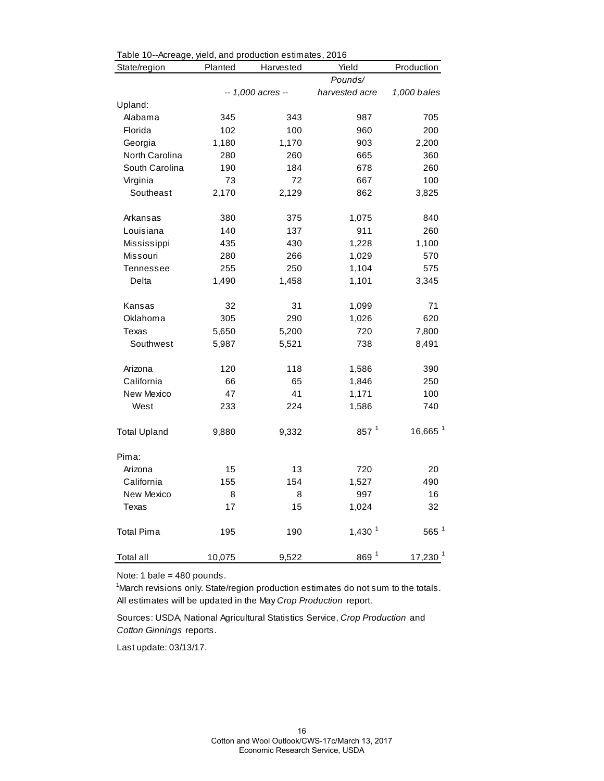| Table 10--Acreage, yield, and production estimates, 2016<br>State/region | Planted | Harvested         | Yield                | Production            |
|--------------------------------------------------------------------------|---------|-------------------|----------------------|-----------------------|
|                                                                          |         |                   | Pounds/              |                       |
|                                                                          |         | -- 1,000 acres -- | harvested acre       | 1,000 bales           |
| Upland:                                                                  |         |                   |                      |                       |
| Alabama                                                                  | 345     | 343               | 987                  | 705                   |
| Florida                                                                  | 102     | 100               | 960                  | 200                   |
| Georgia                                                                  | 1,180   | 1,170             | 903                  | 2,200                 |
| North Carolina                                                           | 280     | 260               | 665                  | 360                   |
| South Carolina                                                           | 190     | 184               | 678                  | 260                   |
| Virginia                                                                 | 73      | 72                | 667                  | 100                   |
| Southeast                                                                | 2,170   | 2,129             | 862                  | 3,825                 |
| Arkansas                                                                 | 380     | 375               | 1,075                | 840                   |
| Louisiana                                                                | 140     | 137               | 911                  | 260                   |
| Mississippi                                                              | 435     | 430               | 1,228                | 1,100                 |
| Missouri                                                                 | 280     | 266               | 1,029                | 570                   |
| <b>Tennessee</b>                                                         | 255     | 250               | 1,104                | 575                   |
| Delta                                                                    | 1,490   | 1,458             | 1,101                | 3,345                 |
| Kansas                                                                   | 32      | 31                | 1,099                | 71                    |
| Oklahoma                                                                 | 305     | 290               | 1,026                | 620                   |
| Texas                                                                    | 5,650   | 5,200             | 720                  | 7,800                 |
| Southwest                                                                | 5,987   | 5,521             | 738                  | 8,491                 |
| Arizona                                                                  | 120     | 118               | 1,586                | 390                   |
| California                                                               | 66      | 65                | 1,846                | 250                   |
| New Mexico                                                               | 47      | 41                | 1,171                | 100                   |
| West                                                                     | 233     | 224               | 1,586                | 740                   |
| <b>Total Upland</b>                                                      | 9,880   | 9,332             | $857^{1}$            | $16,665$ <sup>1</sup> |
| Pima:                                                                    |         |                   |                      |                       |
| Arizona                                                                  | 15      | 13                | 720                  | 20                    |
| California                                                               | 155     | 154               | 1,527                | 490                   |
| New Mexico                                                               | 8       | 8                 | 997                  | 16                    |
| Texas                                                                    | 17      | 15                | 1,024                | 32                    |
| <b>Total Pima</b>                                                        | 195     | 190               | $1,430$ <sup>1</sup> | $565$ <sup>1</sup>    |
| <b>Total all</b>                                                         | 10,075  | 9,522             | 869 <sup>1</sup>     | 17,230 <sup>1</sup>   |

Table 10--Acreage, yield, and production estimates, 2016

Note: 1 bale = 480 pounds.

<sup>1</sup>March revisions only. State/region production estimates do not sum to the totals. All estimates will be updated in the May *Crop Production* report.

Sources: USDA, National Agricultural Statistics Service, *Crop Production* and *Cotton Ginnings* reports.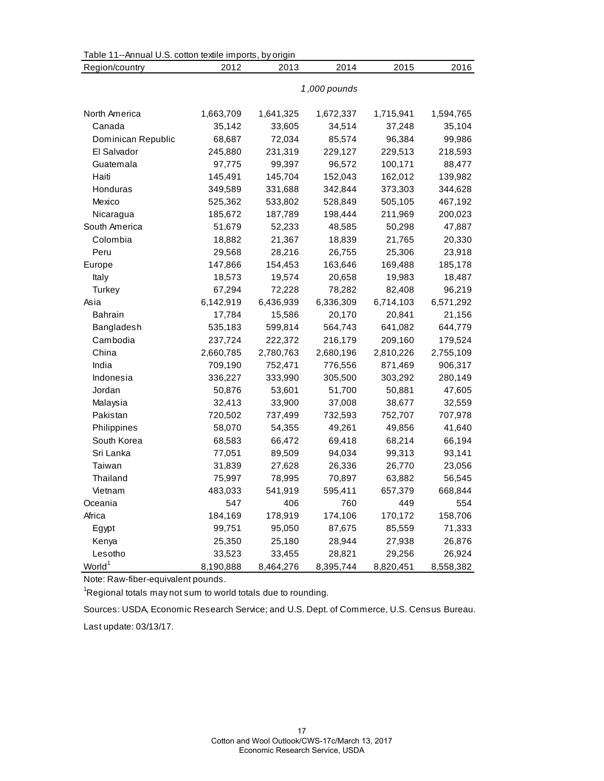| Table 11--Annual U.S. cotton textile imports, by origin |           |           |              |           |           |
|---------------------------------------------------------|-----------|-----------|--------------|-----------|-----------|
| Region/country                                          | 2012      | 2013      | 2014         | 2015      | 2016      |
|                                                         |           |           |              |           |           |
|                                                         |           |           | 1,000 pounds |           |           |
| North America                                           | 1,663,709 | 1,641,325 | 1,672,337    | 1,715,941 | 1,594,765 |
| Canada                                                  | 35,142    | 33,605    | 34,514       | 37,248    | 35,104    |
| Dominican Republic                                      | 68,687    | 72,034    | 85,574       | 96,384    | 99,986    |
| El Salvador                                             | 245,880   | 231,319   | 229,127      | 229,513   | 218,593   |
| Guatemala                                               | 97,775    | 99,397    | 96,572       | 100,171   | 88,477    |
| Haiti                                                   | 145,491   | 145,704   | 152,043      | 162,012   | 139,982   |
| Honduras                                                | 349,589   | 331,688   | 342,844      | 373,303   | 344,628   |
| Mexico                                                  | 525,362   | 533,802   | 528,849      | 505,105   | 467,192   |
| Nicaragua                                               | 185,672   | 187,789   | 198,444      | 211,969   | 200,023   |
| South America                                           | 51,679    | 52,233    | 48,585       | 50,298    | 47,887    |
| Colombia                                                | 18,882    | 21,367    | 18,839       | 21,765    | 20,330    |
| Peru                                                    | 29,568    | 28,216    | 26,755       | 25,306    | 23,918    |
| Europe                                                  | 147,866   | 154,453   | 163,646      | 169,488   | 185,178   |
| Italy                                                   | 18,573    | 19,574    | 20,658       | 19,983    | 18,487    |
| Turkey                                                  | 67,294    | 72,228    | 78,282       | 82,408    | 96,219    |
| Asia                                                    | 6,142,919 | 6,436,939 | 6,336,309    | 6,714,103 | 6,571,292 |
| <b>Bahrain</b>                                          | 17,784    | 15,586    | 20,170       | 20,841    | 21,156    |
| Bangladesh                                              | 535,183   | 599,814   | 564,743      | 641,082   | 644,779   |
| Cambodia                                                | 237,724   | 222,372   | 216,179      | 209,160   | 179,524   |
| China                                                   | 2,660,785 | 2,780,763 | 2,680,196    | 2,810,226 | 2,755,109 |
| India                                                   | 709,190   | 752,471   | 776,556      | 871,469   | 906,317   |
| Indonesia                                               | 336,227   | 333,990   | 305,500      | 303,292   | 280,149   |
| Jordan                                                  | 50,876    | 53,601    | 51,700       | 50,881    | 47,605    |
| Malaysia                                                | 32,413    | 33,900    | 37,008       | 38,677    | 32,559    |
| Pakistan                                                | 720,502   | 737,499   | 732,593      | 752,707   | 707,978   |
| Philippines                                             | 58,070    | 54,355    | 49,261       | 49,856    | 41,640    |
| South Korea                                             | 68,583    | 66,472    | 69,418       | 68,214    | 66,194    |
| Sri Lanka                                               | 77,051    | 89,509    | 94,034       | 99,313    | 93,141    |
| Taiwan                                                  | 31,839    | 27,628    | 26,336       | 26,770    | 23,056    |
| Thailand                                                | 75,997    | 78,995    | 70,897       | 63,882    | 56,545    |
| Vietnam                                                 | 483,033   | 541,919   | 595,411      | 657,379   | 668,844   |
| Oceania                                                 | 547       | 406       | 760          | 449       | 554       |
| Africa                                                  | 184,169   | 178,919   | 174,106      | 170,172   | 158,706   |
| Egypt                                                   | 99,751    | 95,050    | 87,675       | 85,559    | 71,333    |
| Kenya                                                   | 25,350    | 25,180    | 28,944       | 27,938    | 26,876    |
| Lesotho                                                 | 33,523    | 33,455    | 28,821       | 29,256    | 26,924    |
| World <sup>1</sup>                                      | 8,190,888 | 8,464,276 | 8,395,744    | 8,820,451 | 8,558,382 |

Note: Raw-fiber-equivalent pounds.

 $\mathrm{{}^1}$ Regional totals may not sum to world totals due to rounding.

Sources: USDA, Economic Research Service; and U.S. Dept. of Commerce, U.S. Census Bureau.